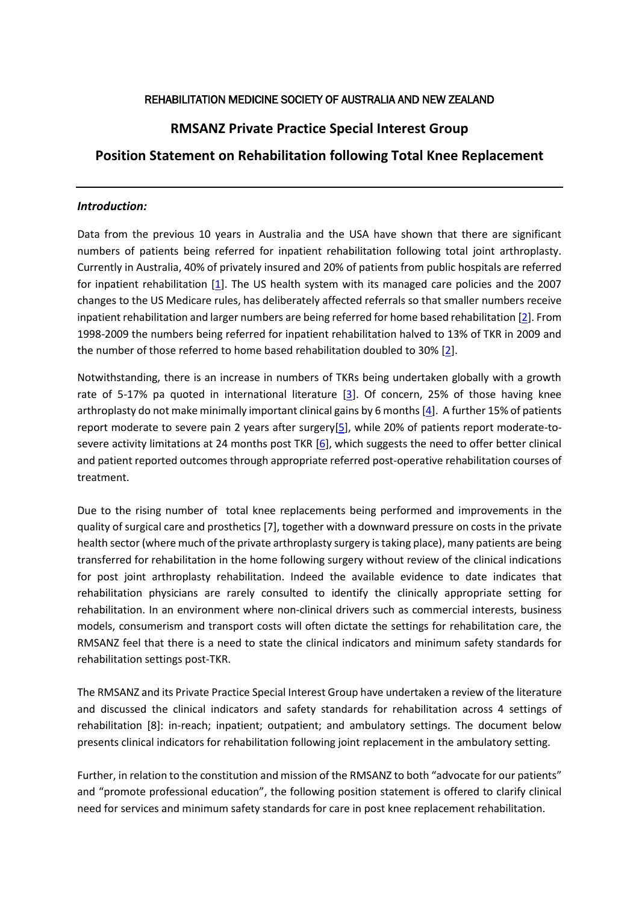### REHABILITATION MEDICINE SOCIETY OF AUSTRALIA AND NEW ZEALAND

# **RMSANZ Private Practice Special Interest Group**

### **Position Statement on Rehabilitation following Total Knee Replacement**

#### *Introduction:*

Data from the previous 10 years in Australia and the USA have shown that there are significant numbers of patients being referred for inpatient rehabilitation following total joint arthroplasty. Currently in Australia, 40% of privately insured and 20% of patients from public hospitals are referred for inpatient rehabilitation [\[1\]](file:///C:/Users/User/Downloads/RMSANZ%20Private%20Practice%20Special%20Interest%20group%20Positon%20Statement%20on%20Rehabilitation%20following%20Total%20knee%20replacement%20Final%20version%20with%20ammendments.docx%23_ENREF_1). The US health system with its managed care policies and the 2007 changes to the US Medicare rules, has deliberately affected referrals so that smaller numbers receive inpatient rehabilitation and larger numbers are being referred for home based rehabilitation [\[2\]](file:///C:/Users/User/Downloads/RMSANZ%20Private%20Practice%20Special%20Interest%20group%20Positon%20Statement%20on%20Rehabilitation%20following%20Total%20knee%20replacement%20Final%20version%20with%20ammendments.docx%23_ENREF_2). From 1998-2009 the numbers being referred for inpatient rehabilitation halved to 13% of TKR in 2009 and the number of those referred to home based rehabilitation doubled to 30% [\[2\]](file:///C:/Users/User/Downloads/RMSANZ%20Private%20Practice%20Special%20Interest%20group%20Positon%20Statement%20on%20Rehabilitation%20following%20Total%20knee%20replacement%20Final%20version%20with%20ammendments.docx%23_ENREF_2).

Notwithstanding, there is an increase in numbers of TKRs being undertaken globally with a growth rate of 5-17% pa quoted in international literature [\[3\]](file:///C:/Users/User/Downloads/RMSANZ%20Private%20Practice%20Special%20Interest%20group%20Positon%20Statement%20on%20Rehabilitation%20following%20Total%20knee%20replacement%20Final%20version%20with%20ammendments.docx%23_ENREF_3). Of concern, 25% of those having knee arthroplasty do not make minimally important clinical gains by 6 months [\[4\]](file:///C:/Users/User/Downloads/RMSANZ%20Private%20Practice%20Special%20Interest%20group%20Positon%20Statement%20on%20Rehabilitation%20following%20Total%20knee%20replacement%20Final%20version%20with%20ammendments.docx%23_ENREF_4). A further 15% of patients report moderate to severe pain 2 years after surgery[\[5\]](file:///C:/Users/User/Downloads/RMSANZ%20Private%20Practice%20Special%20Interest%20group%20Positon%20Statement%20on%20Rehabilitation%20following%20Total%20knee%20replacement%20Final%20version%20with%20ammendments.docx%23_ENREF_5), while 20% of patients report moderate-tosevere activity limitations at 24 months post TKR [\[6\]](file:///C:/Users/User/Downloads/RMSANZ%20Private%20Practice%20Special%20Interest%20group%20Positon%20Statement%20on%20Rehabilitation%20following%20Total%20knee%20replacement%20Final%20version%20with%20ammendments.docx%23_ENREF_6), which suggests the need to offer better clinical and patient reported outcomes through appropriate referred post-operative rehabilitation courses of treatment.

Due to the rising number of total knee replacements being performed and improvements in the quality of surgical care and prosthetics [\[7\]](#page-3-0), together with a downward pressure on costs in the private health sector (where much of the private arthroplasty surgery is taking place), many patients are being transferred for rehabilitation in the home following surgery without review of the clinical indications for post joint arthroplasty rehabilitation. Indeed the available evidence to date indicates that rehabilitation physicians are rarely consulted to identify the clinically appropriate setting for rehabilitation. In an environment where non-clinical drivers such as commercial interests, business models, consumerism and transport costs will often dictate the settings for rehabilitation care, the RMSANZ feel that there is a need to state the clinical indicators and minimum safety standards for rehabilitation settings post-TKR.

The RMSANZ and its Private Practice Special Interest Group have undertaken a review of the literature and discussed the clinical indicators and safety standards for rehabilitation across 4 settings of rehabilitation [\[8\]](#page-3-1): in-reach; inpatient; outpatient; and ambulatory settings. The document below presents clinical indicators for rehabilitation following joint replacement in the ambulatory setting.

Further, in relation to the constitution and mission of the RMSANZ to both "advocate for our patients" and "promote professional education", the following position statement is offered to clarify clinical need for services and minimum safety standards for care in post knee replacement rehabilitation.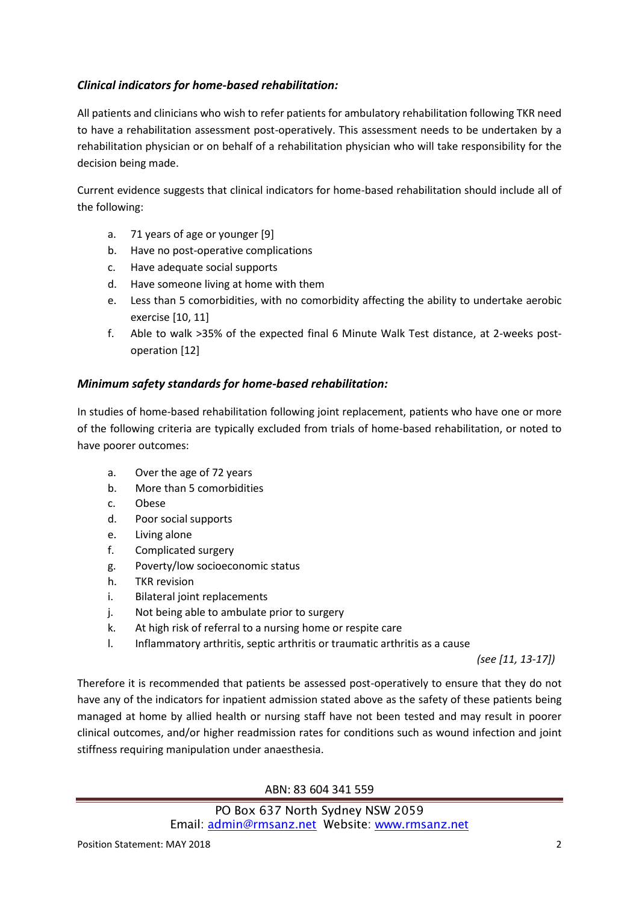# *Clinical indicators for home-based rehabilitation:*

All patients and clinicians who wish to refer patients for ambulatory rehabilitation following TKR need to have a rehabilitation assessment post-operatively. This assessment needs to be undertaken by a rehabilitation physician or on behalf of a rehabilitation physician who will take responsibility for the decision being made.

Current evidence suggests that clinical indicators for home-based rehabilitation should include all of the following:

- a. 71 years of age or younger [\[9\]](#page-3-2)
- b. Have no post-operative complications
- c. Have adequate social supports
- d. Have someone living at home with them
- e. Less than 5 comorbidities, with no comorbidity affecting the ability to undertake aerobic exercise [\[10,](#page-3-3) [11\]](#page-3-4)
- f. Able to walk >35% of the expected final 6 Minute Walk Test distance, at 2-weeks postoperation [\[12\]](#page-4-0)

### *Minimum safety standards for home-based rehabilitation:*

In studies of home-based rehabilitation following joint replacement, patients who have one or more of the following criteria are typically excluded from trials of home-based rehabilitation, or noted to have poorer outcomes:

- a. Over the age of 72 years
- b. More than 5 comorbidities
- c. Obese
- d. Poor social supports
- e. Living alone
- f. Complicated surgery
- g. Poverty/low socioeconomic status
- h. TKR revision
- i. Bilateral joint replacements
- j. Not being able to ambulate prior to surgery
- k. At high risk of referral to a nursing home or respite care
- l. Inflammatory arthritis, septic arthritis or traumatic arthritis as a cause

*(see [\[11,](#page-3-4) [13-17\]](#page-4-1))*

Therefore it is recommended that patients be assessed post-operatively to ensure that they do not have any of the indicators for inpatient admission stated above as the safety of these patients being managed at home by allied health or nursing staff have not been tested and may result in poorer clinical outcomes, and/or higher readmission rates for conditions such as wound infection and joint stiffness requiring manipulation under anaesthesia.

### ABN: 83 604 341 559

PO Box 637 North Sydney NSW 2059 Email: [admin@rmsanz.net](mailto:admin@rmsanz.net) Website: [www.rmsanz.net](http://www.rmsanz.net/)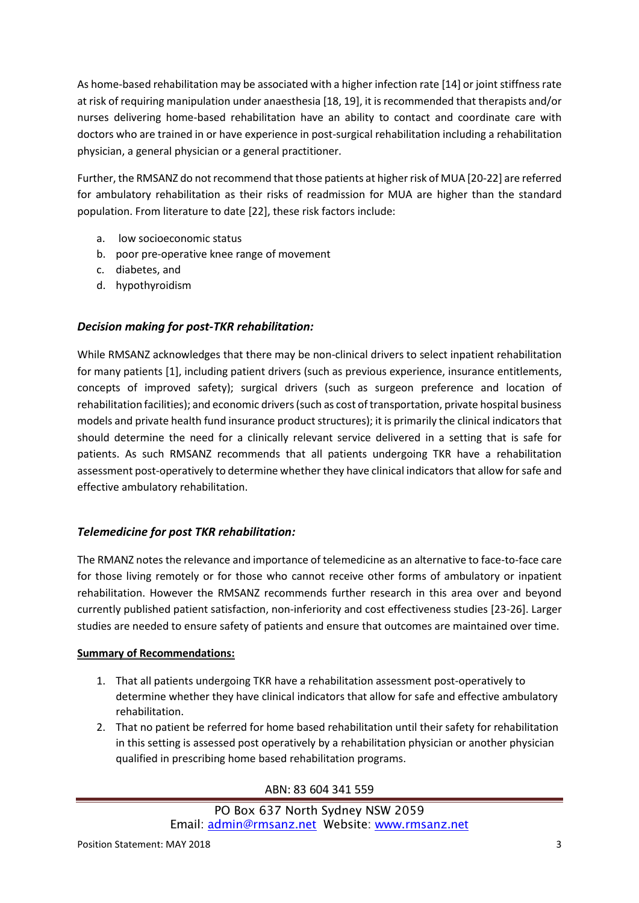As home-based rehabilitation may be associated with a higher infection rate [\[14\]](#page-4-2) or joint stiffness rate at risk of requiring manipulation under anaesthesia [\[18,](#page-4-3) [19\]](#page-4-4), it is recommended that therapists and/or nurses delivering home-based rehabilitation have an ability to contact and coordinate care with doctors who are trained in or have experience in post-surgical rehabilitation including a rehabilitation physician, a general physician or a general practitioner.

Further, the RMSANZ do not recommend that those patients at higher risk of MUA [\[20-22\]](#page-4-5) are referred for ambulatory rehabilitation as their risks of readmission for MUA are higher than the standard population. From literature to date [\[22\]](#page-4-6), these risk factors include:

- a. low socioeconomic status
- b. poor pre-operative knee range of movement
- c. diabetes, and
- d. hypothyroidism

### *Decision making for post-TKR rehabilitation:*

While RMSANZ acknowledges that there may be non-clinical drivers to select inpatient rehabilitation for many patients [\[1\]](#page-3-5), including patient drivers (such as previous experience, insurance entitlements, concepts of improved safety); surgical drivers (such as surgeon preference and location of rehabilitation facilities); and economic drivers (such as cost of transportation, private hospital business models and private health fund insurance product structures); it is primarily the clinical indicators that should determine the need for a clinically relevant service delivered in a setting that is safe for patients. As such RMSANZ recommends that all patients undergoing TKR have a rehabilitation assessment post-operatively to determine whether they have clinical indicators that allow forsafe and effective ambulatory rehabilitation.

### *Telemedicine for post TKR rehabilitation:*

The RMANZ notes the relevance and importance of telemedicine as an alternative to face-to-face care for those living remotely or for those who cannot receive other forms of ambulatory or inpatient rehabilitation. However the RMSANZ recommends further research in this area over and beyond currently published patient satisfaction, non-inferiority and cost effectiveness studies [\[23-26\]](#page-4-7). Larger studies are needed to ensure safety of patients and ensure that outcomes are maintained over time.

### **Summary of Recommendations:**

- 1. That all patients undergoing TKR have a rehabilitation assessment post-operatively to determine whether they have clinical indicators that allow for safe and effective ambulatory rehabilitation.
- 2. That no patient be referred for home based rehabilitation until their safety for rehabilitation in this setting is assessed post operatively by a rehabilitation physician or another physician qualified in prescribing home based rehabilitation programs.

ABN: 83 604 341 559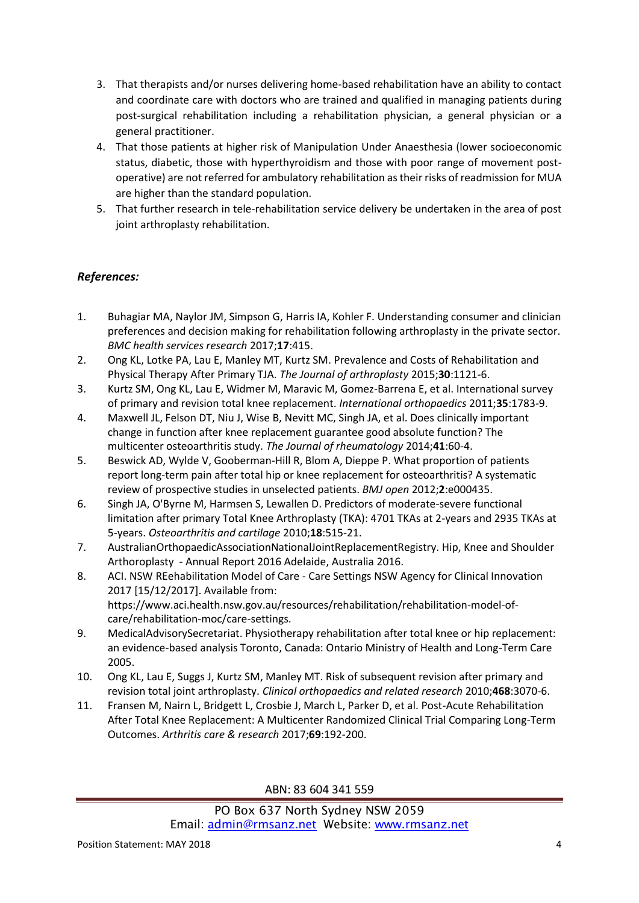- 3. That therapists and/or nurses delivering home-based rehabilitation have an ability to contact and coordinate care with doctors who are trained and qualified in managing patients during post-surgical rehabilitation including a rehabilitation physician, a general physician or a general practitioner.
- 4. That those patients at higher risk of Manipulation Under Anaesthesia (lower socioeconomic status, diabetic, those with hyperthyroidism and those with poor range of movement postoperative) are not referred for ambulatory rehabilitation as their risks of readmission for MUA are higher than the standard population.
- 5. That further research in tele-rehabilitation service delivery be undertaken in the area of post joint arthroplasty rehabilitation.

# *References:*

- <span id="page-3-5"></span>1. Buhagiar MA, Naylor JM, Simpson G, Harris IA, Kohler F. Understanding consumer and clinician preferences and decision making for rehabilitation following arthroplasty in the private sector. *BMC health services research* 2017;**17**:415.
- 2. Ong KL, Lotke PA, Lau E, Manley MT, Kurtz SM. Prevalence and Costs of Rehabilitation and Physical Therapy After Primary TJA. *The Journal of arthroplasty* 2015;**30**:1121-6.
- 3. Kurtz SM, Ong KL, Lau E, Widmer M, Maravic M, Gomez-Barrena E, et al. International survey of primary and revision total knee replacement. *International orthopaedics* 2011;**35**:1783-9.
- 4. Maxwell JL, Felson DT, Niu J, Wise B, Nevitt MC, Singh JA, et al. Does clinically important change in function after knee replacement guarantee good absolute function? The multicenter osteoarthritis study. *The Journal of rheumatology* 2014;**41**:60-4.
- 5. Beswick AD, Wylde V, Gooberman-Hill R, Blom A, Dieppe P. What proportion of patients report long-term pain after total hip or knee replacement for osteoarthritis? A systematic review of prospective studies in unselected patients. *BMJ open* 2012;**2**:e000435.
- 6. Singh JA, O'Byrne M, Harmsen S, Lewallen D. Predictors of moderate-severe functional limitation after primary Total Knee Arthroplasty (TKA): 4701 TKAs at 2-years and 2935 TKAs at 5-years. *Osteoarthritis and cartilage* 2010;**18**:515-21.
- <span id="page-3-0"></span>7. AustralianOrthopaedicAssociationNationalJointReplacementRegistry. Hip, Knee and Shoulder Arthoroplasty - Annual Report 2016 Adelaide, Australia 2016.
- <span id="page-3-1"></span>8. ACI. NSW REehabilitation Model of Care - Care Settings NSW Agency for Clinical Innovation 2017 [15/12/2017]. Available from: https:/[/www.aci.health.nsw.gov.au/resources/rehabilitation/rehabilitation-model-of](http://www.aci.health.nsw.gov.au/resources/rehabilitation/rehabilitation-model-of-care/rehabilitation-moc/care-settings)[care/rehabilitation-moc/care-settings.](http://www.aci.health.nsw.gov.au/resources/rehabilitation/rehabilitation-model-of-care/rehabilitation-moc/care-settings)
- <span id="page-3-2"></span>9. MedicalAdvisorySecretariat. Physiotherapy rehabilitation after total knee or hip replacement: an evidence-based analysis Toronto, Canada: Ontario Ministry of Health and Long-Term Care 2005.
- <span id="page-3-3"></span>10. Ong KL, Lau E, Suggs J, Kurtz SM, Manley MT. Risk of subsequent revision after primary and revision total joint arthroplasty. *Clinical orthopaedics and related research* 2010;**468**:3070-6.
- <span id="page-3-4"></span>11. Fransen M, Nairn L, Bridgett L, Crosbie J, March L, Parker D, et al. Post-Acute Rehabilitation After Total Knee Replacement: A Multicenter Randomized Clinical Trial Comparing Long-Term Outcomes. *Arthritis care & research* 2017;**69**:192-200.

ABN: 83 604 341 559